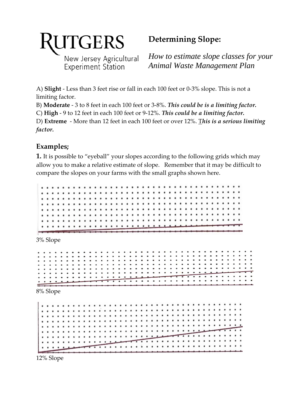

New Jersey Agricultural Experiment Station

## **Determining Slope:**

*How to estimate slope classes for your Animal Waste Management Plan* 

 A) **Slight** ‐ Less than 3 feet rise or fall in each 100 feet or 0‐3% slope. This is not a limiting factor.

 B) **Moderate** ‐ 3 to 8 feet in each 100 feet or 3‐8%. *This could be is a limiting factor.*

 C) **High** ‐ 9 to 12 feet in each 100 feet or 9‐12%. *This could be a limiting factor.*

  D) **Extreme** ‐ More than 12 feet in each 100 feet or over 12%. T*his is a serious limiting factor.*

## **Examples;**

 **1.** It is possible to "eyeball" your slopes according to the following grids which may allow you to make a relative estimate of slope. Remember that it may be difficult to compare the slopes on your farms with the small graphs shown here.

. . . . . 3% Slope  $\cdots$ 8% Slope

 $\begin{array}{ccccccccccccccccc} \bullet & \bullet & \bullet & \bullet & \bullet & \bullet & \bullet & \bullet \end{array}$  $\bullet$ . . . . . *.* . .

12% Slope